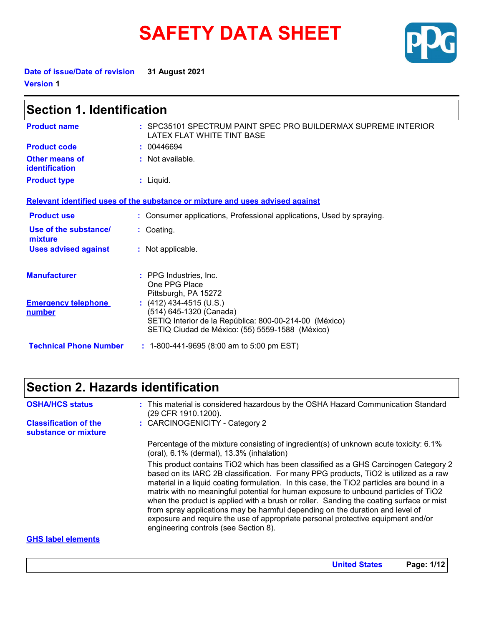# **SAFETY DATA SHEET**



**Date of issue/Date of revision 31 August 2021 Version 1**

| <b>Section 1. Identification</b>        |                                                                                                                                                                 |  |
|-----------------------------------------|-----------------------------------------------------------------------------------------------------------------------------------------------------------------|--|
| <b>Product name</b>                     | : SPC35101 SPECTRUM PAINT SPEC PRO BUILDERMAX SUPREME INTERIOR<br>LATEX FLAT WHITE TINT BASE                                                                    |  |
| <b>Product code</b>                     | : 00446694                                                                                                                                                      |  |
| <b>Other means of</b><br>identification | : Not available.                                                                                                                                                |  |
| <b>Product type</b>                     | $:$ Liquid.                                                                                                                                                     |  |
|                                         | Relevant identified uses of the substance or mixture and uses advised against                                                                                   |  |
| <b>Product use</b>                      | : Consumer applications, Professional applications, Used by spraying.                                                                                           |  |
| Use of the substance/<br>mixture        | : Coating.                                                                                                                                                      |  |
| <b>Uses advised against</b>             | : Not applicable.                                                                                                                                               |  |
| <b>Manufacturer</b>                     | : PPG Industries, Inc.<br>One PPG Place<br>Pittsburgh, PA 15272                                                                                                 |  |
| <b>Emergency telephone</b><br>number    | $(412)$ 434-4515 (U.S.)<br>(514) 645-1320 (Canada)<br>SETIQ Interior de la República: 800-00-214-00 (México)<br>SETIQ Ciudad de México: (55) 5559-1588 (México) |  |
| <b>Technical Phone Number</b>           | $: 1-800-441-9695 (8:00 am to 5:00 pm EST)$                                                                                                                     |  |

## **Section 2. Hazards identification**

| <b>OSHA/HCS status</b>                               | : This material is considered hazardous by the OSHA Hazard Communication Standard<br>(29 CFR 1910.1200).                                                                                                                                                                                                                                                                                                                                                                                                                                                                                                                                                                  |
|------------------------------------------------------|---------------------------------------------------------------------------------------------------------------------------------------------------------------------------------------------------------------------------------------------------------------------------------------------------------------------------------------------------------------------------------------------------------------------------------------------------------------------------------------------------------------------------------------------------------------------------------------------------------------------------------------------------------------------------|
| <b>Classification of the</b><br>substance or mixture | : CARCINOGENICITY - Category 2                                                                                                                                                                                                                                                                                                                                                                                                                                                                                                                                                                                                                                            |
|                                                      | Percentage of the mixture consisting of ingredient(s) of unknown acute toxicity: 6.1%<br>$(oral), 6.1\% (dermal), 13.3\% (inhalation)$                                                                                                                                                                                                                                                                                                                                                                                                                                                                                                                                    |
|                                                      | This product contains TiO2 which has been classified as a GHS Carcinogen Category 2<br>based on its IARC 2B classification. For many PPG products, TiO2 is utilized as a raw<br>material in a liquid coating formulation. In this case, the TiO2 particles are bound in a<br>matrix with no meaningful potential for human exposure to unbound particles of TiO2<br>when the product is applied with a brush or roller. Sanding the coating surface or mist<br>from spray applications may be harmful depending on the duration and level of<br>exposure and require the use of appropriate personal protective equipment and/or<br>engineering controls (see Section 8). |
| <b>GHS label elements</b>                            |                                                                                                                                                                                                                                                                                                                                                                                                                                                                                                                                                                                                                                                                           |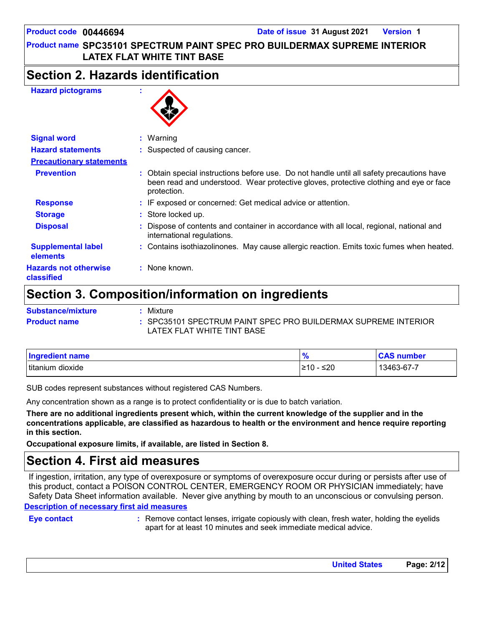### **Product name SPC35101 SPECTRUM PAINT SPEC PRO BUILDERMAX SUPREME INTERIOR LATEX FLAT WHITE TINT BASE**

## **Section 2. Hazards identification**

### **Hazard pictograms :**



| <b>Signal word</b>                         | $:$ Warning                                                                                                                                                                                       |  |
|--------------------------------------------|---------------------------------------------------------------------------------------------------------------------------------------------------------------------------------------------------|--|
| <b>Hazard statements</b>                   | : Suspected of causing cancer.                                                                                                                                                                    |  |
| <b>Precautionary statements</b>            |                                                                                                                                                                                                   |  |
| <b>Prevention</b>                          | : Obtain special instructions before use. Do not handle until all safety precautions have<br>been read and understood. Wear protective gloves, protective clothing and eye or face<br>protection. |  |
| <b>Response</b>                            | : IF exposed or concerned: Get medical advice or attention.                                                                                                                                       |  |
| <b>Storage</b>                             | : Store locked up.                                                                                                                                                                                |  |
| <b>Disposal</b>                            | : Dispose of contents and container in accordance with all local, regional, national and<br>international regulations.                                                                            |  |
| <b>Supplemental label</b><br>elements      | : Contains isothiazolinones. May cause allergic reaction. Emits toxic fumes when heated.                                                                                                          |  |
| <b>Hazards not otherwise</b><br>classified | : None known.                                                                                                                                                                                     |  |

## **Section 3. Composition/information on ingredients**

| <b>Substance/mixture</b> | : Mixture                                                                                    |
|--------------------------|----------------------------------------------------------------------------------------------|
| <b>Product name</b>      | : SPC35101 SPECTRUM PAINT SPEC PRO BUILDERMAX SUPREME INTERIOR<br>LATEX FLAT WHITE TINT BASE |

| Ingredient name     | n                | <b>CAS number</b> |
|---------------------|------------------|-------------------|
| titanium<br>dioxide | $\leq 20$<br>≥10 | 13463-67-7        |

SUB codes represent substances without registered CAS Numbers.

Any concentration shown as a range is to protect confidentiality or is due to batch variation.

**There are no additional ingredients present which, within the current knowledge of the supplier and in the concentrations applicable, are classified as hazardous to health or the environment and hence require reporting in this section.**

**Occupational exposure limits, if available, are listed in Section 8.**

## **Section 4. First aid measures**

**Description of necessary first aid measures** If ingestion, irritation, any type of overexposure or symptoms of overexposure occur during or persists after use of this product, contact a POISON CONTROL CENTER, EMERGENCY ROOM OR PHYSICIAN immediately; have Safety Data Sheet information available. Never give anything by mouth to an unconscious or convulsing person.

**Eye contact :**

Remove contact lenses, irrigate copiously with clean, fresh water, holding the eyelids apart for at least 10 minutes and seek immediate medical advice.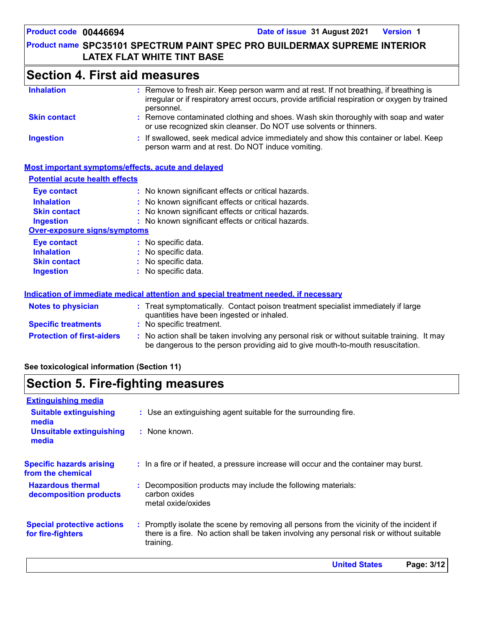### **Product name SPC35101 SPECTRUM PAINT SPEC PRO BUILDERMAX SUPREME INTERIOR LATEX FLAT WHITE TINT BASE**

## **Section 4. First aid measures**

| <b>Inhalation</b>   | : Remove to fresh air. Keep person warm and at rest. If not breathing, if breathing is<br>irregular or if respiratory arrest occurs, provide artificial respiration or oxygen by trained<br>personnel. |
|---------------------|--------------------------------------------------------------------------------------------------------------------------------------------------------------------------------------------------------|
| <b>Skin contact</b> | : Remove contaminated clothing and shoes. Wash skin thoroughly with soap and water<br>or use recognized skin cleanser. Do NOT use solvents or thinners.                                                |
| <b>Ingestion</b>    | : If swallowed, seek medical advice immediately and show this container or label. Keep<br>person warm and at rest. Do NOT induce vomiting.                                                             |

### **Most important symptoms/effects, acute and delayed**

| <b>Potential acute health effects</b> |                                                                                                                                                                               |
|---------------------------------------|-------------------------------------------------------------------------------------------------------------------------------------------------------------------------------|
| <b>Eye contact</b>                    | : No known significant effects or critical hazards.                                                                                                                           |
| <b>Inhalation</b>                     | : No known significant effects or critical hazards.                                                                                                                           |
| <b>Skin contact</b>                   | : No known significant effects or critical hazards.                                                                                                                           |
| <b>Ingestion</b>                      | : No known significant effects or critical hazards.                                                                                                                           |
| <b>Over-exposure signs/symptoms</b>   |                                                                                                                                                                               |
| <b>Eye contact</b>                    | : No specific data.                                                                                                                                                           |
| <b>Inhalation</b>                     | : No specific data.                                                                                                                                                           |
| <b>Skin contact</b>                   | : No specific data.                                                                                                                                                           |
| <b>Ingestion</b>                      | : No specific data.                                                                                                                                                           |
|                                       | Indication of immediate medical attention and special treatment needed, if necessary                                                                                          |
| <b>Notes to physician</b>             | : Treat symptomatically. Contact poison treatment specialist immediately if large<br>quantities have been ingested or inhaled.                                                |
| <b>Specific treatments</b>            | : No specific treatment.                                                                                                                                                      |
| <b>Protection of first-aiders</b>     | : No action shall be taken involving any personal risk or without suitable training. It may<br>be dangerous to the person providing aid to give mouth-to-mouth resuscitation. |

**See toxicological information (Section 11)**

## **Section 5. Fire-fighting measures**

| : Use an extinguishing agent suitable for the surrounding fire.                                                                                                                                     |
|-----------------------------------------------------------------------------------------------------------------------------------------------------------------------------------------------------|
| $:$ None known.                                                                                                                                                                                     |
| : In a fire or if heated, a pressure increase will occur and the container may burst.                                                                                                               |
| : Decomposition products may include the following materials:<br>carbon oxides<br>metal oxide/oxides                                                                                                |
| : Promptly isolate the scene by removing all persons from the vicinity of the incident if<br>there is a fire. No action shall be taken involving any personal risk or without suitable<br>training. |
|                                                                                                                                                                                                     |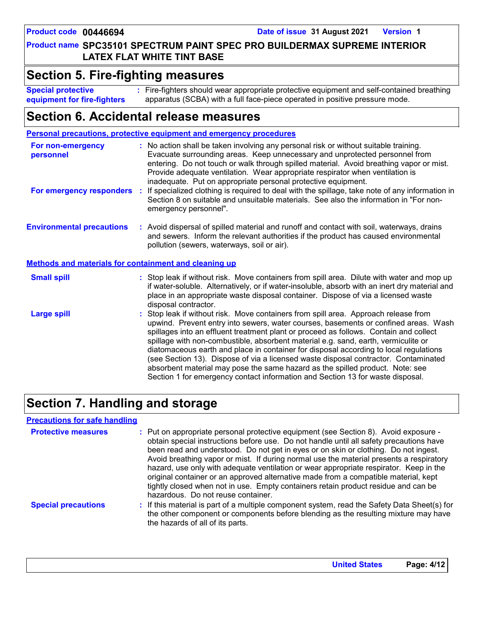### **Product name SPC35101 SPECTRUM PAINT SPEC PRO BUILDERMAX SUPREME INTERIOR LATEX FLAT WHITE TINT BASE**

### **Section 5. Fire-fighting measures**

**Special protective equipment for fire-fighters** Fire-fighters should wear appropriate protective equipment and self-contained breathing **:**

apparatus (SCBA) with a full face-piece operated in positive pressure mode.

## **Section 6. Accidental release measures**

|                                                              | Personal precautions, protective equipment and emergency procedures                                                                                                                                                                                                                                                                                                                                                                                                                                                                                                                                                                                                                                          |  |  |
|--------------------------------------------------------------|--------------------------------------------------------------------------------------------------------------------------------------------------------------------------------------------------------------------------------------------------------------------------------------------------------------------------------------------------------------------------------------------------------------------------------------------------------------------------------------------------------------------------------------------------------------------------------------------------------------------------------------------------------------------------------------------------------------|--|--|
| For non-emergency<br>personnel                               | : No action shall be taken involving any personal risk or without suitable training.<br>Evacuate surrounding areas. Keep unnecessary and unprotected personnel from<br>entering. Do not touch or walk through spilled material. Avoid breathing vapor or mist.<br>Provide adequate ventilation. Wear appropriate respirator when ventilation is<br>inadequate. Put on appropriate personal protective equipment.                                                                                                                                                                                                                                                                                             |  |  |
| For emergency responders :                                   | If specialized clothing is required to deal with the spillage, take note of any information in<br>Section 8 on suitable and unsuitable materials. See also the information in "For non-<br>emergency personnel".                                                                                                                                                                                                                                                                                                                                                                                                                                                                                             |  |  |
| <b>Environmental precautions</b>                             | : Avoid dispersal of spilled material and runoff and contact with soil, waterways, drains<br>and sewers. Inform the relevant authorities if the product has caused environmental<br>pollution (sewers, waterways, soil or air).                                                                                                                                                                                                                                                                                                                                                                                                                                                                              |  |  |
| <b>Methods and materials for containment and cleaning up</b> |                                                                                                                                                                                                                                                                                                                                                                                                                                                                                                                                                                                                                                                                                                              |  |  |
| <b>Small spill</b>                                           | : Stop leak if without risk. Move containers from spill area. Dilute with water and mop up<br>if water-soluble. Alternatively, or if water-insoluble, absorb with an inert dry material and<br>place in an appropriate waste disposal container. Dispose of via a licensed waste<br>disposal contractor.                                                                                                                                                                                                                                                                                                                                                                                                     |  |  |
| <b>Large spill</b>                                           | : Stop leak if without risk. Move containers from spill area. Approach release from<br>upwind. Prevent entry into sewers, water courses, basements or confined areas. Wash<br>spillages into an effluent treatment plant or proceed as follows. Contain and collect<br>spillage with non-combustible, absorbent material e.g. sand, earth, vermiculite or<br>diatomaceous earth and place in container for disposal according to local regulations<br>(see Section 13). Dispose of via a licensed waste disposal contractor. Contaminated<br>absorbent material may pose the same hazard as the spilled product. Note: see<br>Section 1 for emergency contact information and Section 13 for waste disposal. |  |  |

## **Section 7. Handling and storage**

### **Precautions for safe handling**

| <b>Protective measures</b> | : Put on appropriate personal protective equipment (see Section 8). Avoid exposure -<br>obtain special instructions before use. Do not handle until all safety precautions have<br>been read and understood. Do not get in eyes or on skin or clothing. Do not ingest.<br>Avoid breathing vapor or mist. If during normal use the material presents a respiratory<br>hazard, use only with adequate ventilation or wear appropriate respirator. Keep in the<br>original container or an approved alternative made from a compatible material, kept<br>tightly closed when not in use. Empty containers retain product residue and can be<br>hazardous. Do not reuse container. |
|----------------------------|--------------------------------------------------------------------------------------------------------------------------------------------------------------------------------------------------------------------------------------------------------------------------------------------------------------------------------------------------------------------------------------------------------------------------------------------------------------------------------------------------------------------------------------------------------------------------------------------------------------------------------------------------------------------------------|
| <b>Special precautions</b> | : If this material is part of a multiple component system, read the Safety Data Sheet(s) for<br>the other component or components before blending as the resulting mixture may have<br>the hazards of all of its parts.                                                                                                                                                                                                                                                                                                                                                                                                                                                        |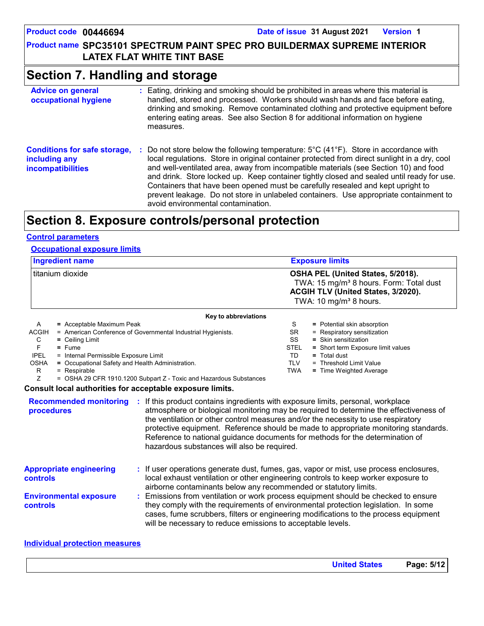### **Product name SPC35101 SPECTRUM PAINT SPEC PRO BUILDERMAX SUPREME INTERIOR LATEX FLAT WHITE TINT BASE**

## **Section 7. Handling and storage**

| <b>Advice on general</b><br>occupational hygiene                                 | : Eating, drinking and smoking should be prohibited in areas where this material is<br>handled, stored and processed. Workers should wash hands and face before eating,<br>drinking and smoking. Remove contaminated clothing and protective equipment before<br>entering eating areas. See also Section 8 for additional information on hygiene<br>measures.                                                                                                                                                                                                                                                    |
|----------------------------------------------------------------------------------|------------------------------------------------------------------------------------------------------------------------------------------------------------------------------------------------------------------------------------------------------------------------------------------------------------------------------------------------------------------------------------------------------------------------------------------------------------------------------------------------------------------------------------------------------------------------------------------------------------------|
| <b>Conditions for safe storage,</b><br>including any<br><b>incompatibilities</b> | : Do not store below the following temperature: $5^{\circ}$ C (41 $^{\circ}$ F). Store in accordance with<br>local regulations. Store in original container protected from direct sunlight in a dry, cool<br>and well-ventilated area, away from incompatible materials (see Section 10) and food<br>and drink. Store locked up. Keep container tightly closed and sealed until ready for use.<br>Containers that have been opened must be carefully resealed and kept upright to<br>prevent leakage. Do not store in unlabeled containers. Use appropriate containment to<br>avoid environmental contamination. |

## **Section 8. Exposure controls/personal protection**

### **Control parameters**

### **Occupational exposure limits**

| <b>Ingredient name</b> | <b>Exposure limits</b>                                                                                                                                               |  |
|------------------------|----------------------------------------------------------------------------------------------------------------------------------------------------------------------|--|
| l titanium dioxide     | OSHA PEL (United States, 5/2018).<br>TWA: 15 mg/m <sup>3</sup> 8 hours. Form: Total dust<br>ACGIH TLV (United States, 3/2020).<br>TWA: 10 mg/m <sup>3</sup> 8 hours. |  |
| Key to abbreviations   |                                                                                                                                                                      |  |

|              | <b>NEV to appleviations</b>                                        |             |                                    |
|--------------|--------------------------------------------------------------------|-------------|------------------------------------|
| A            | $=$ Acceptable Maximum Peak                                        | S           | = Potential skin absorption        |
| <b>ACGIH</b> | = American Conference of Governmental Industrial Hygienists.       | SR.         | = Respiratory sensitization        |
| С            | $=$ Ceiling Limit                                                  | SS          | $=$ Skin sensitization             |
|              | $=$ Fume                                                           | <b>STEL</b> | = Short term Exposure limit values |
| <b>IPEL</b>  | = Internal Permissible Exposure Limit                              | TD          | $=$ Total dust                     |
| <b>OSHA</b>  | = Occupational Safety and Health Administration.                   | TLV         | = Threshold Limit Value            |
| R            | $=$ Respirable                                                     | TWA         | $=$ Time Weighted Average          |
|              | = OSHA 29 CFR 1910.1200 Subpart Z - Toxic and Hazardous Substances |             |                                    |
|              | .                                                                  |             |                                    |

### **Consult local authorities for acceptable exposure limits.**

| <b>Recommended monitoring</b><br>procedures      | If this product contains ingredients with exposure limits, personal, workplace<br>atmosphere or biological monitoring may be required to determine the effectiveness of<br>the ventilation or other control measures and/or the necessity to use respiratory<br>protective equipment. Reference should be made to appropriate monitoring standards.<br>Reference to national guidance documents for methods for the determination of<br>hazardous substances will also be required. |
|--------------------------------------------------|-------------------------------------------------------------------------------------------------------------------------------------------------------------------------------------------------------------------------------------------------------------------------------------------------------------------------------------------------------------------------------------------------------------------------------------------------------------------------------------|
| <b>Appropriate engineering</b><br>controls       | : If user operations generate dust, fumes, gas, vapor or mist, use process enclosures,<br>local exhaust ventilation or other engineering controls to keep worker exposure to<br>airborne contaminants below any recommended or statutory limits.                                                                                                                                                                                                                                    |
| <b>Environmental exposure</b><br><b>controls</b> | Emissions from ventilation or work process equipment should be checked to ensure<br>they comply with the requirements of environmental protection legislation. In some<br>cases, fume scrubbers, filters or engineering modifications to the process equipment<br>will be necessary to reduce emissions to acceptable levels.                                                                                                                                                       |

### **Individual protection measures**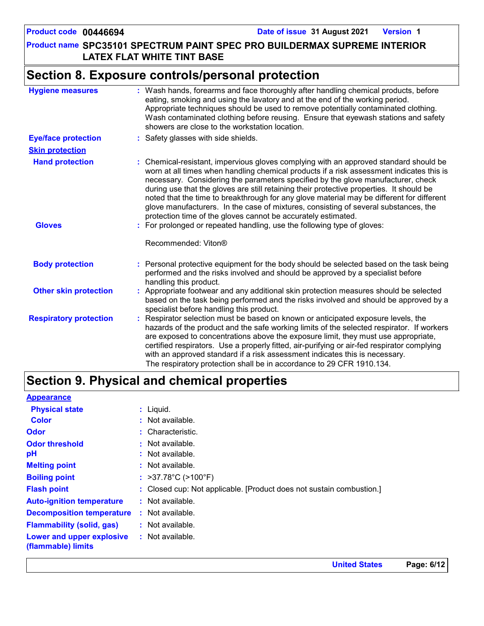### **Product name SPC35101 SPECTRUM PAINT SPEC PRO BUILDERMAX SUPREME INTERIOR LATEX FLAT WHITE TINT BASE**

## **Section 8. Exposure controls/personal protection**

| <b>Hygiene measures</b>       | : Wash hands, forearms and face thoroughly after handling chemical products, before<br>eating, smoking and using the lavatory and at the end of the working period.<br>Appropriate techniques should be used to remove potentially contaminated clothing.<br>Wash contaminated clothing before reusing. Ensure that eyewash stations and safety<br>showers are close to the workstation location.                                                                                                                                                                                                                      |
|-------------------------------|------------------------------------------------------------------------------------------------------------------------------------------------------------------------------------------------------------------------------------------------------------------------------------------------------------------------------------------------------------------------------------------------------------------------------------------------------------------------------------------------------------------------------------------------------------------------------------------------------------------------|
| <b>Eye/face protection</b>    | : Safety glasses with side shields.                                                                                                                                                                                                                                                                                                                                                                                                                                                                                                                                                                                    |
| <b>Skin protection</b>        |                                                                                                                                                                                                                                                                                                                                                                                                                                                                                                                                                                                                                        |
| <b>Hand protection</b>        | : Chemical-resistant, impervious gloves complying with an approved standard should be<br>worn at all times when handling chemical products if a risk assessment indicates this is<br>necessary. Considering the parameters specified by the glove manufacturer, check<br>during use that the gloves are still retaining their protective properties. It should be<br>noted that the time to breakthrough for any glove material may be different for different<br>glove manufacturers. In the case of mixtures, consisting of several substances, the<br>protection time of the gloves cannot be accurately estimated. |
| <b>Gloves</b>                 | : For prolonged or repeated handling, use the following type of gloves:                                                                                                                                                                                                                                                                                                                                                                                                                                                                                                                                                |
|                               | Recommended: Viton®                                                                                                                                                                                                                                                                                                                                                                                                                                                                                                                                                                                                    |
| <b>Body protection</b>        | : Personal protective equipment for the body should be selected based on the task being<br>performed and the risks involved and should be approved by a specialist before<br>handling this product.                                                                                                                                                                                                                                                                                                                                                                                                                    |
| <b>Other skin protection</b>  | : Appropriate footwear and any additional skin protection measures should be selected<br>based on the task being performed and the risks involved and should be approved by a<br>specialist before handling this product.                                                                                                                                                                                                                                                                                                                                                                                              |
| <b>Respiratory protection</b> | : Respirator selection must be based on known or anticipated exposure levels, the<br>hazards of the product and the safe working limits of the selected respirator. If workers<br>are exposed to concentrations above the exposure limit, they must use appropriate,<br>certified respirators. Use a properly fitted, air-purifying or air-fed respirator complying<br>with an approved standard if a risk assessment indicates this is necessary.<br>The respiratory protection shall be in accordance to 29 CFR 1910.134.                                                                                            |

## **Section 9. Physical and chemical properties**

| <b>Appearance</b>                               |                                                                      |
|-------------------------------------------------|----------------------------------------------------------------------|
| <b>Physical state</b>                           | $:$ Liquid.                                                          |
| <b>Color</b>                                    | $:$ Not available.                                                   |
| <b>Odor</b>                                     | : Characteristic.                                                    |
| <b>Odor threshold</b>                           | : Not available.                                                     |
| рH                                              | : Not available.                                                     |
| <b>Melting point</b>                            | $:$ Not available.                                                   |
| <b>Boiling point</b>                            | : $>37.78^{\circ}$ C ( $>100^{\circ}$ F)                             |
| <b>Flash point</b>                              | : Closed cup: Not applicable. [Product does not sustain combustion.] |
| <b>Auto-ignition temperature</b>                | : Not available.                                                     |
| <b>Decomposition temperature</b>                | : Not available.                                                     |
| <b>Flammability (solid, gas)</b>                | : Not available.                                                     |
| Lower and upper explosive<br>(flammable) limits | : Not available.                                                     |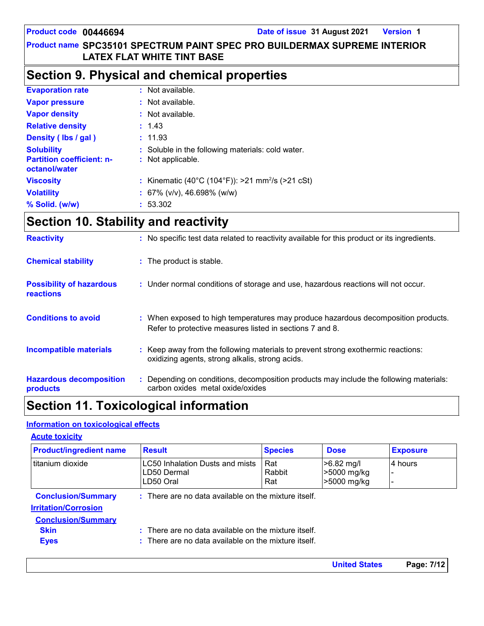**United States Page: 7/12**

### **Product name SPC35101 SPECTRUM PAINT SPEC PRO BUILDERMAX SUPREME INTERIOR LATEX FLAT WHITE TINT BASE**

## **Section 9. Physical and chemical properties**

| <b>Evaporation rate</b>                                                | $:$ Not available.                                                     |
|------------------------------------------------------------------------|------------------------------------------------------------------------|
| <b>Vapor pressure</b>                                                  | : Not available.                                                       |
| <b>Vapor density</b>                                                   | : Not available.                                                       |
| <b>Relative density</b>                                                | : 1.43                                                                 |
| Density (Ibs / gal)                                                    | : 11.93                                                                |
| <b>Solubility</b><br><b>Partition coefficient: n-</b><br>octanol/water | : Soluble in the following materials: cold water.<br>: Not applicable. |
| <b>Viscosity</b>                                                       | : Kinematic (40°C (104°F)): >21 mm <sup>2</sup> /s (>21 cSt)           |
| <b>Volatility</b>                                                      | : 67% ( $v/v$ ), 46.698% ( $w/w$ )                                     |
| % Solid. (w/w)                                                         | : 53.302                                                               |

## **Section 10. Stability and reactivity**

| <b>Reactivity</b>                                   | : No specific test data related to reactivity available for this product or its ingredients.                                                  |
|-----------------------------------------------------|-----------------------------------------------------------------------------------------------------------------------------------------------|
| <b>Chemical stability</b>                           | : The product is stable.                                                                                                                      |
| <b>Possibility of hazardous</b><br><b>reactions</b> | : Under normal conditions of storage and use, hazardous reactions will not occur.                                                             |
| <b>Conditions to avoid</b>                          | : When exposed to high temperatures may produce hazardous decomposition products.<br>Refer to protective measures listed in sections 7 and 8. |
| <b>Incompatible materials</b>                       | : Keep away from the following materials to prevent strong exothermic reactions:<br>oxidizing agents, strong alkalis, strong acids.           |
| <b>Hazardous decomposition</b><br>products          | : Depending on conditions, decomposition products may include the following materials:<br>carbon oxides metal oxide/oxides                    |

## **Section 11. Toxicological information**

### **Information on toxicological effects**

| <b>Acute toxicity</b>                                                                 |                                                                                                                                    |                      |                                            |                 |
|---------------------------------------------------------------------------------------|------------------------------------------------------------------------------------------------------------------------------------|----------------------|--------------------------------------------|-----------------|
| <b>Product/ingredient name</b>                                                        | <b>Result</b>                                                                                                                      | <b>Species</b>       | <b>Dose</b>                                | <b>Exposure</b> |
| l titanium dioxide                                                                    | LC50 Inhalation Dusts and mists<br>LD50 Dermal<br>LD50 Oral                                                                        | Rat<br>Rabbit<br>Rat | $>6.82$ mg/l<br>>5000 mg/kg<br>>5000 mg/kg | 4 hours         |
| <b>Conclusion/Summary</b><br><b>Irritation/Corrosion</b><br><b>Conclusion/Summary</b> | $:$ There are no data available on the mixture itself.                                                                             |                      |                                            |                 |
| <b>Skin</b><br><b>Eyes</b>                                                            | $\therefore$ There are no data available on the mixture itself.<br>$\therefore$ There are no data available on the mixture itself. |                      |                                            |                 |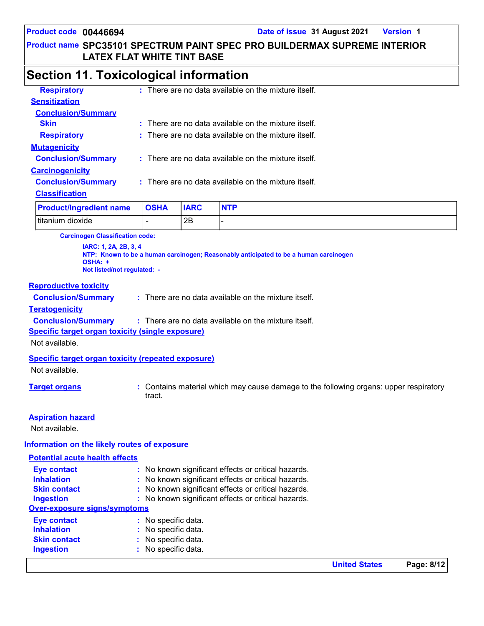### **Product name SPC35101 SPECTRUM PAINT SPEC PRO BUILDERMAX SUPREME INTERIOR LATEX FLAT WHITE TINT BASE**

## **Section 11. Toxicological information**

| <b>Respiratory</b>        | $\therefore$ There are no data available on the mixture itself. |
|---------------------------|-----------------------------------------------------------------|
| <b>Sensitization</b>      |                                                                 |
| <b>Conclusion/Summary</b> |                                                                 |
| <b>Skin</b>               | $\pm$ There are no data available on the mixture itself.        |
| <b>Respiratory</b>        | : There are no data available on the mixture itself.            |
| <b>Mutagenicity</b>       |                                                                 |
| <b>Conclusion/Summary</b> | $:$ There are no data available on the mixture itself.          |
| <b>Carcinogenicity</b>    |                                                                 |
| <b>Conclusion/Summary</b> | $\therefore$ There are no data available on the mixture itself. |
| <b>Classification</b>     |                                                                 |
|                           |                                                                 |

| <b>Product/ingredient name OSHA</b> | <b>IARC</b> |  |
|-------------------------------------|-------------|--|
| titanium dioxide                    | 2B          |  |

**Carcinogen Classification code:**

**IARC: 1, 2A, 2B, 3, 4 NTP: Known to be a human carcinogen; Reasonably anticipated to be a human carcinogen OSHA: + Not listed/not regulated: -**

### **Reproductive toxicity**

**Conclusion/Summary :**

There are no data available on the mixture itself.

**Teratogenicity**

**Conclusion/Summary :** : There are no data available on the mixture itself.

**Specific target organ toxicity (single exposure)**

Not available.

### **Specific target organ toxicity (repeated exposure)**

Not available.

**Target organs :** Contains material which may cause damage to the following organs: upper respiratory tract.

### **Aspiration hazard**

Not available.

### **Information on the likely routes of exposure**

### **Potential acute health effects**

| <b>Eye contact</b>                  | : No known significant effects or critical hazards. |
|-------------------------------------|-----------------------------------------------------|
| <b>Inhalation</b>                   | : No known significant effects or critical hazards. |
| <b>Skin contact</b>                 | : No known significant effects or critical hazards. |
| <b>Ingestion</b>                    | : No known significant effects or critical hazards. |
| <b>Over-exposure signs/symptoms</b> |                                                     |
| <b>Eye contact</b>                  | : No specific data.                                 |
| <b>Inhalation</b>                   | : No specific data.                                 |
| <b>Skin contact</b>                 | : No specific data.                                 |
| <b>Ingestion</b>                    | : No specific data.                                 |
|                                     |                                                     |

**United States Page: 8/12**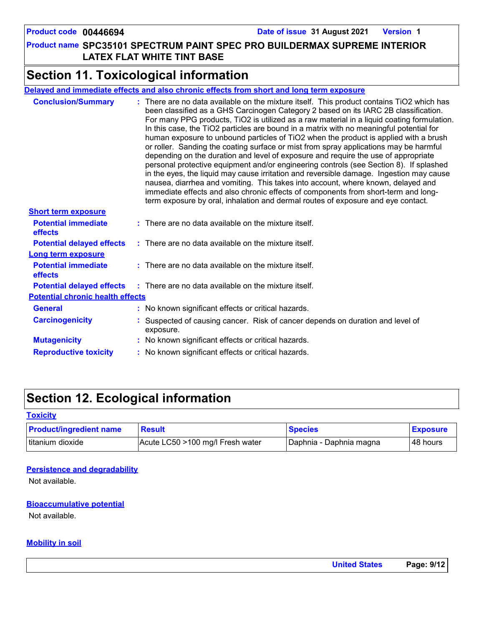### **Product name SPC35101 SPECTRUM PAINT SPEC PRO BUILDERMAX SUPREME INTERIOR LATEX FLAT WHITE TINT BASE**

## **Section 11. Toxicological information**

|                                                               | Delayed and immediate effects and also chronic effects from short and long term exposure                                                                                                                                                                                                                                                                                                                                                                                                                                                                                                                                                                                                                                                                                                                                                                                                                                                                                                                                                                                                            |
|---------------------------------------------------------------|-----------------------------------------------------------------------------------------------------------------------------------------------------------------------------------------------------------------------------------------------------------------------------------------------------------------------------------------------------------------------------------------------------------------------------------------------------------------------------------------------------------------------------------------------------------------------------------------------------------------------------------------------------------------------------------------------------------------------------------------------------------------------------------------------------------------------------------------------------------------------------------------------------------------------------------------------------------------------------------------------------------------------------------------------------------------------------------------------------|
| <b>Conclusion/Summary</b>                                     | : There are no data available on the mixture itself. This product contains TiO2 which has<br>been classified as a GHS Carcinogen Category 2 based on its IARC 2B classification.<br>For many PPG products, TiO2 is utilized as a raw material in a liquid coating formulation.<br>In this case, the TiO2 particles are bound in a matrix with no meaningful potential for<br>human exposure to unbound particles of TiO2 when the product is applied with a brush<br>or roller. Sanding the coating surface or mist from spray applications may be harmful<br>depending on the duration and level of exposure and require the use of appropriate<br>personal protective equipment and/or engineering controls (see Section 8). If splashed<br>in the eyes, the liquid may cause irritation and reversible damage. Ingestion may cause<br>nausea, diarrhea and vomiting. This takes into account, where known, delayed and<br>immediate effects and also chronic effects of components from short-term and long-<br>term exposure by oral, inhalation and dermal routes of exposure and eye contact. |
| <b>Short term exposure</b>                                    |                                                                                                                                                                                                                                                                                                                                                                                                                                                                                                                                                                                                                                                                                                                                                                                                                                                                                                                                                                                                                                                                                                     |
| <b>Potential immediate</b><br><b>effects</b>                  | $:$ There are no data available on the mixture itself.                                                                                                                                                                                                                                                                                                                                                                                                                                                                                                                                                                                                                                                                                                                                                                                                                                                                                                                                                                                                                                              |
| <b>Potential delayed effects</b><br><b>Long term exposure</b> | : There are no data available on the mixture itself.                                                                                                                                                                                                                                                                                                                                                                                                                                                                                                                                                                                                                                                                                                                                                                                                                                                                                                                                                                                                                                                |
| <b>Potential immediate</b><br>effects                         | $:$ There are no data available on the mixture itself.                                                                                                                                                                                                                                                                                                                                                                                                                                                                                                                                                                                                                                                                                                                                                                                                                                                                                                                                                                                                                                              |
|                                                               | <b>Potential delayed effects</b> : There are no data available on the mixture itself.                                                                                                                                                                                                                                                                                                                                                                                                                                                                                                                                                                                                                                                                                                                                                                                                                                                                                                                                                                                                               |
| <b>Potential chronic health effects</b>                       |                                                                                                                                                                                                                                                                                                                                                                                                                                                                                                                                                                                                                                                                                                                                                                                                                                                                                                                                                                                                                                                                                                     |
| <b>General</b>                                                | : No known significant effects or critical hazards.                                                                                                                                                                                                                                                                                                                                                                                                                                                                                                                                                                                                                                                                                                                                                                                                                                                                                                                                                                                                                                                 |
| <b>Carcinogenicity</b>                                        | : Suspected of causing cancer. Risk of cancer depends on duration and level of<br>exposure.                                                                                                                                                                                                                                                                                                                                                                                                                                                                                                                                                                                                                                                                                                                                                                                                                                                                                                                                                                                                         |
| <b>Mutagenicity</b>                                           | : No known significant effects or critical hazards.                                                                                                                                                                                                                                                                                                                                                                                                                                                                                                                                                                                                                                                                                                                                                                                                                                                                                                                                                                                                                                                 |
| <b>Reproductive toxicity</b>                                  | : No known significant effects or critical hazards.                                                                                                                                                                                                                                                                                                                                                                                                                                                                                                                                                                                                                                                                                                                                                                                                                                                                                                                                                                                                                                                 |
|                                                               |                                                                                                                                                                                                                                                                                                                                                                                                                                                                                                                                                                                                                                                                                                                                                                                                                                                                                                                                                                                                                                                                                                     |

## **Section 12. Ecological information**

### **Toxicity**

| <b>Product/ingredient name</b> | <b>Result</b>                    | <b>Species</b>          | <b>Exposure</b> |
|--------------------------------|----------------------------------|-------------------------|-----------------|
| titanium dioxide               | Acute LC50 >100 mg/l Fresh water | Daphnia - Daphnia magna | l 48 hours      |

### **Persistence and degradability**

Not available.

### **Bioaccumulative potential**

Not available.

### **Mobility in soil**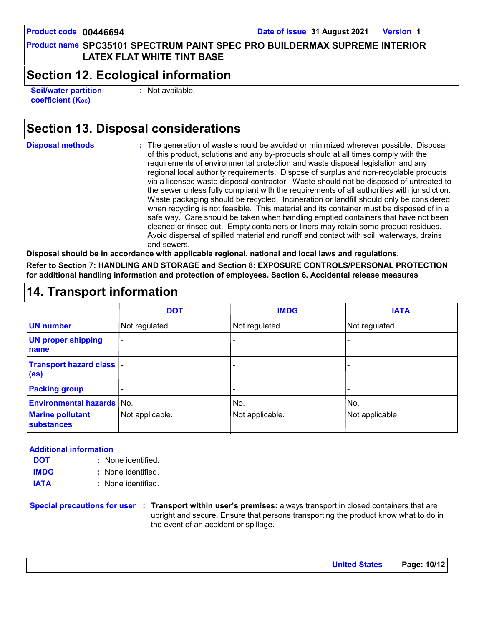**Product name SPC35101 SPECTRUM PAINT SPEC PRO BUILDERMAX SUPREME INTERIOR LATEX FLAT WHITE TINT BASE**

## **Section 12. Ecological information**

**Soil/water partition coefficient (Koc)** 

**:** Not available.

## **Section 13. Disposal considerations**

**Disposal methods :**

The generation of waste should be avoided or minimized wherever possible. Disposal of this product, solutions and any by-products should at all times comply with the requirements of environmental protection and waste disposal legislation and any regional local authority requirements. Dispose of surplus and non-recyclable products via a licensed waste disposal contractor. Waste should not be disposed of untreated to the sewer unless fully compliant with the requirements of all authorities with jurisdiction. Waste packaging should be recycled. Incineration or landfill should only be considered when recycling is not feasible. This material and its container must be disposed of in a safe way. Care should be taken when handling emptied containers that have not been cleaned or rinsed out. Empty containers or liners may retain some product residues. Avoid dispersal of spilled material and runoff and contact with soil, waterways, drains and sewers.

**Disposal should be in accordance with applicable regional, national and local laws and regulations.**

**Refer to Section 7: HANDLING AND STORAGE and Section 8: EXPOSURE CONTROLS/PERSONAL PROTECTION for additional handling information and protection of employees. Section 6. Accidental release measures**

| <b>14. Transport information</b>               |                 |                 |                 |
|------------------------------------------------|-----------------|-----------------|-----------------|
|                                                | <b>DOT</b>      | <b>IMDG</b>     | <b>IATA</b>     |
| <b>UN number</b>                               | Not regulated.  | Not regulated.  | Not regulated.  |
| <b>UN proper shipping</b><br>name              |                 |                 |                 |
| Transport hazard class  -<br>(e <sub>s</sub> ) |                 |                 |                 |
| <b>Packing group</b>                           |                 |                 |                 |
| <b>Environmental hazards No.</b>               |                 | No.             | No.             |
| <b>Marine pollutant</b><br>substances          | Not applicable. | Not applicable. | Not applicable. |

### **Additional information**

- None identified. **:** None identified. **: DOT IMDG**
- **IATA :** None identified.

**Special precautions for user Transport within user's premises:** always transport in closed containers that are **:** upright and secure. Ensure that persons transporting the product know what to do in the event of an accident or spillage.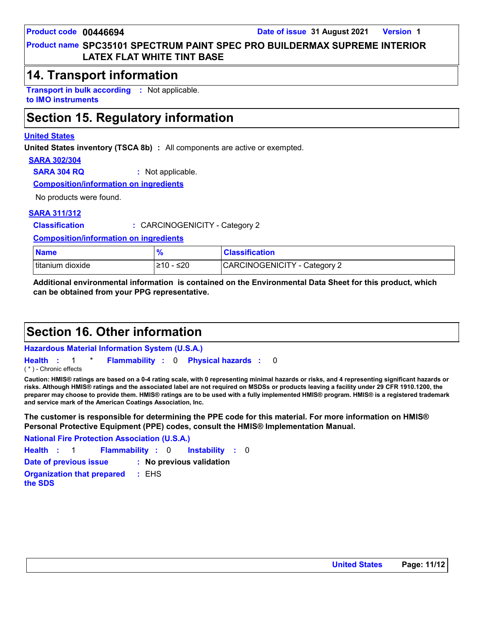### **Product name SPC35101 SPECTRUM PAINT SPEC PRO BUILDERMAX SUPREME INTERIOR LATEX FLAT WHITE TINT BASE**

### **14. Transport information**

**Transport in bulk according :** Not applicable. **to IMO instruments**

## **Section 15. Regulatory information**

### **United States**

**United States inventory (TSCA 8b) :** All components are active or exempted.

### **SARA 302/304**

**SARA 304 RQ :** Not applicable.

**Composition/information on ingredients**

No products were found.

### **SARA 311/312**

**Classification :** CARCINOGENICITY - Category 2

**Composition/information on ingredients**

| <b>Name</b>        |                   | <b>Classification</b>               |
|--------------------|-------------------|-------------------------------------|
| I titanium dioxide | ≤20<br>51 N<br>10 | <b>CARCINOGENICITY - Category 2</b> |

**Additional environmental information is contained on the Environmental Data Sheet for this product, which can be obtained from your PPG representative.**

## **Section 16. Other information**

**Hazardous Material Information System (U.S.A.)**

**Health** : 1 \* **Flammability** : 0 **Physical hazards** : 0 0

( \* ) - Chronic effects

**Caution: HMIS® ratings are based on a 0-4 rating scale, with 0 representing minimal hazards or risks, and 4 representing significant hazards or risks. Although HMIS® ratings and the associated label are not required on MSDSs or products leaving a facility under 29 CFR 1910.1200, the preparer may choose to provide them. HMIS® ratings are to be used with a fully implemented HMIS® program. HMIS® is a registered trademark and service mark of the American Coatings Association, Inc.**

**The customer is responsible for determining the PPE code for this material. For more information on HMIS® Personal Protective Equipment (PPE) codes, consult the HMIS® Implementation Manual.**

**Instability** : 0 **National Fire Protection Association (U.S.A.) Health**: 1 **Flammability**: 0 **Instability**: 0 **Date of previous issue : No previous validation Organization that prepared the SDS :** EHS